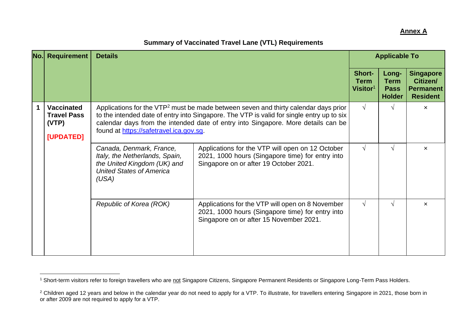## **Annex A**

|             | <b>No.</b> Requirement                                        | <b>Details</b>                                                                                                                                                                                                                                                                                                               |                                                                                                                                                 | <b>Applicable To</b>                          |                                                      |                                                                     |
|-------------|---------------------------------------------------------------|------------------------------------------------------------------------------------------------------------------------------------------------------------------------------------------------------------------------------------------------------------------------------------------------------------------------------|-------------------------------------------------------------------------------------------------------------------------------------------------|-----------------------------------------------|------------------------------------------------------|---------------------------------------------------------------------|
|             |                                                               |                                                                                                                                                                                                                                                                                                                              |                                                                                                                                                 | Short-<br><b>Term</b><br>Visitor <sup>1</sup> | Long-<br><b>Term</b><br><b>Pass</b><br><b>Holder</b> | <b>Singapore</b><br>Citizen/<br><b>Permanent</b><br><b>Resident</b> |
| $\mathbf 1$ | <b>Vaccinated</b><br><b>Travel Pass</b><br>(VTP)<br>[UPDATED] | Applications for the VTP <sup>2</sup> must be made between seven and thirty calendar days prior<br>to the intended date of entry into Singapore. The VTP is valid for single entry up to six<br>calendar days from the intended date of entry into Singapore. More details can be<br>found at https://safetravel.ica.gov.sg. |                                                                                                                                                 |                                               | $\sqrt{ }$                                           | $\boldsymbol{\mathsf{x}}$                                           |
|             |                                                               | Canada, Denmark, France,<br>Italy, the Netherlands, Spain,<br>the United Kingdom (UK) and<br><b>United States of America</b><br>(USA)                                                                                                                                                                                        | Applications for the VTP will open on 12 October<br>2021, 1000 hours (Singapore time) for entry into<br>Singapore on or after 19 October 2021.  | $\sqrt{ }$                                    | $\sqrt{ }$                                           | $\boldsymbol{\mathsf{x}}$                                           |
|             |                                                               | Republic of Korea (ROK)                                                                                                                                                                                                                                                                                                      | Applications for the VTP will open on 8 November<br>2021, 1000 hours (Singapore time) for entry into<br>Singapore on or after 15 November 2021. | $\sqrt{ }$                                    | $\sqrt{ }$                                           | $\boldsymbol{\mathsf{x}}$                                           |

## **Summary of Vaccinated Travel Lane (VTL) Requirements**

<sup>&</sup>lt;sup>1</sup> Short-term visitors refer to foreign travellers who are not Singapore Citizens, Singapore Permanent Residents or Singapore Long-Term Pass Holders.

 $2$  Children aged 12 years and below in the calendar year do not need to apply for a VTP. To illustrate, for travellers entering Singapore in 2021, those born in or after 2009 are not required to apply for a VTP.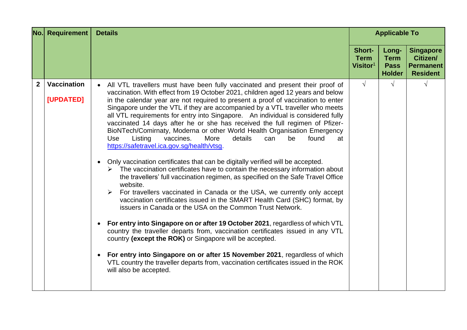|                | <b>No.</b> Requirement          | <b>Details</b>                                                                                                                                                                                                                                                                                                                                                                                                                                                                                                                                                                                                                                                                                                                                                                                                                                                                                                                                                                                                                                                                                                                                                                                                                                                                                                                                                                                                                                                                                                                                                                                                                                                                | <b>Applicable To</b>                        |                                                      |                                                                     |
|----------------|---------------------------------|-------------------------------------------------------------------------------------------------------------------------------------------------------------------------------------------------------------------------------------------------------------------------------------------------------------------------------------------------------------------------------------------------------------------------------------------------------------------------------------------------------------------------------------------------------------------------------------------------------------------------------------------------------------------------------------------------------------------------------------------------------------------------------------------------------------------------------------------------------------------------------------------------------------------------------------------------------------------------------------------------------------------------------------------------------------------------------------------------------------------------------------------------------------------------------------------------------------------------------------------------------------------------------------------------------------------------------------------------------------------------------------------------------------------------------------------------------------------------------------------------------------------------------------------------------------------------------------------------------------------------------------------------------------------------------|---------------------------------------------|------------------------------------------------------|---------------------------------------------------------------------|
|                |                                 |                                                                                                                                                                                                                                                                                                                                                                                                                                                                                                                                                                                                                                                                                                                                                                                                                                                                                                                                                                                                                                                                                                                                                                                                                                                                                                                                                                                                                                                                                                                                                                                                                                                                               | <b>Short-</b><br><b>Term</b><br>Visitor $1$ | Long-<br><b>Term</b><br><b>Pass</b><br><b>Holder</b> | <b>Singapore</b><br>Citizen/<br><b>Permanent</b><br><b>Resident</b> |
| $\overline{2}$ | <b>Vaccination</b><br>[UPDATED] | All VTL travellers must have been fully vaccinated and present their proof of<br>$\bullet$<br>vaccination. With effect from 19 October 2021, children aged 12 years and below<br>in the calendar year are not required to present a proof of vaccination to enter<br>Singapore under the VTL if they are accompanied by a VTL traveller who meets<br>all VTL requirements for entry into Singapore. An individual is considered fully<br>vaccinated 14 days after he or she has received the full regimen of Pfizer-<br>BioNTech/Comirnaty, Moderna or other World Health Organisation Emergency<br>More<br>Listing<br>vaccines.<br>details<br>found<br><b>Use</b><br>can<br>be<br>at<br>https://safetravel.ica.gov.sg/health/vtsg.<br>Only vaccination certificates that can be digitally verified will be accepted.<br>$\triangleright$ The vaccination certificates have to contain the necessary information about<br>the travellers' full vaccination regimen, as specified on the Safe Travel Office<br>website.<br>For travellers vaccinated in Canada or the USA, we currently only accept<br>➤<br>vaccination certificates issued in the SMART Health Card (SHC) format, by<br>issuers in Canada or the USA on the Common Trust Network.<br>For entry into Singapore on or after 19 October 2021, regardless of which VTL<br>country the traveller departs from, vaccination certificates issued in any VTL<br>country (except the ROK) or Singapore will be accepted.<br>For entry into Singapore on or after 15 November 2021, regardless of which<br>VTL country the traveller departs from, vaccination certificates issued in the ROK<br>will also be accepted. | $\sqrt{ }$                                  | $\sqrt{ }$                                           | V                                                                   |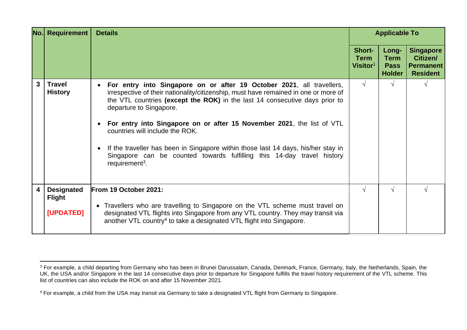|   | No. Requirement<br><b>Details</b>               |                                                                                                                                                                                                                                                                                                                                                                                                                                                                                                                                                                                  | <b>Applicable To</b>                                 |                                                      |                                                                     |  |
|---|-------------------------------------------------|----------------------------------------------------------------------------------------------------------------------------------------------------------------------------------------------------------------------------------------------------------------------------------------------------------------------------------------------------------------------------------------------------------------------------------------------------------------------------------------------------------------------------------------------------------------------------------|------------------------------------------------------|------------------------------------------------------|---------------------------------------------------------------------|--|
|   |                                                 |                                                                                                                                                                                                                                                                                                                                                                                                                                                                                                                                                                                  | <b>Short-</b><br><b>Term</b><br>Visitor <sup>1</sup> | Long-<br><b>Term</b><br><b>Pass</b><br><b>Holder</b> | <b>Singapore</b><br>Citizen/<br><b>Permanent</b><br><b>Resident</b> |  |
| 3 | <b>Travel</b><br><b>History</b>                 | For entry into Singapore on or after 19 October 2021, all travellers,<br>irrespective of their nationality/citizenship, must have remained in one or more of<br>the VTL countries (except the ROK) in the last 14 consecutive days prior to<br>departure to Singapore.<br>For entry into Singapore on or after 15 November 2021, the list of VTL<br>countries will include the ROK.<br>If the traveller has been in Singapore within those last 14 days, his/her stay in<br>Singapore can be counted towards fulfilling this 14-day travel history<br>requirement <sup>3</sup> . | $\sqrt{ }$                                           | $\sqrt{ }$                                           |                                                                     |  |
| 4 | <b>Designated</b><br><b>Flight</b><br>[UPDATED] | From 19 October 2021:<br>• Travellers who are travelling to Singapore on the VTL scheme must travel on<br>designated VTL flights into Singapore from any VTL country. They may transit via<br>another VTL country <sup>4</sup> to take a designated VTL flight into Singapore.                                                                                                                                                                                                                                                                                                   | $\sqrt{ }$                                           | √                                                    |                                                                     |  |

<sup>&</sup>lt;sup>3</sup> For example, a child departing from Germany who has been in Brunei Darussalam, Canada, Denmark, France, Germany, Italy, the Netherlands, Spain, the UK, the USA and/or Singapore in the last 14 consecutive days prior to departure for Singapore fulfills the travel history requirement of the VTL scheme. This list of countries can also include the ROK on and after 15 November 2021.

<sup>&</sup>lt;sup>4</sup> For example, a child from the USA may transit via Germany to take a designated VTL flight from Germany to Singapore.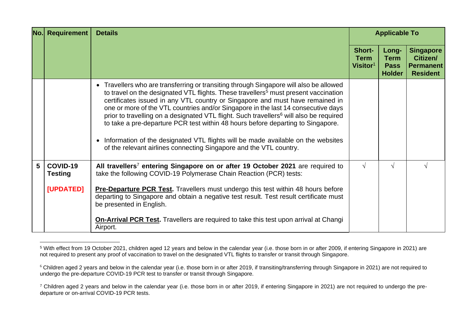|   | <b>No.</b> Requirement                  | <b>Details</b>                                                                                                                                                                                                                                                                                                                                                                                                                                                                                                                                                                                                                                                                                                       | <b>Applicable To</b>                          |                                                      |                                                                     |
|---|-----------------------------------------|----------------------------------------------------------------------------------------------------------------------------------------------------------------------------------------------------------------------------------------------------------------------------------------------------------------------------------------------------------------------------------------------------------------------------------------------------------------------------------------------------------------------------------------------------------------------------------------------------------------------------------------------------------------------------------------------------------------------|-----------------------------------------------|------------------------------------------------------|---------------------------------------------------------------------|
|   |                                         |                                                                                                                                                                                                                                                                                                                                                                                                                                                                                                                                                                                                                                                                                                                      | Short-<br><b>Term</b><br>Visitor <sup>1</sup> | Long-<br><b>Term</b><br><b>Pass</b><br><b>Holder</b> | <b>Singapore</b><br>Citizen/<br><b>Permanent</b><br><b>Resident</b> |
|   |                                         | • Travellers who are transferring or transiting through Singapore will also be allowed<br>to travel on the designated VTL flights. These travellers <sup>5</sup> must present vaccination<br>certificates issued in any VTL country or Singapore and must have remained in<br>one or more of the VTL countries and/or Singapore in the last 14 consecutive days<br>prior to travelling on a designated VTL flight. Such travellers <sup>6</sup> will also be required<br>to take a pre-departure PCR test within 48 hours before departing to Singapore.<br>• Information of the designated VTL flights will be made available on the websites<br>of the relevant airlines connecting Singapore and the VTL country. |                                               |                                                      |                                                                     |
| 5 | COVID-19<br><b>Testing</b><br>[UPDATED] | All travellers <sup>7</sup> entering Singapore on or after 19 October 2021 are required to<br>take the following COVID-19 Polymerase Chain Reaction (PCR) tests:<br><b>Pre-Departure PCR Test.</b> Travellers must undergo this test within 48 hours before<br>departing to Singapore and obtain a negative test result. Test result certificate must<br>be presented in English.<br><b>On-Arrival PCR Test.</b> Travellers are required to take this test upon arrival at Changi<br>Airport.                                                                                                                                                                                                                        | $\sqrt{ }$                                    | V                                                    |                                                                     |

<sup>5</sup> With effect from 19 October 2021, children aged 12 years and below in the calendar year (i.e. those born in or after 2009, if entering Singapore in 2021) are not required to present any proof of vaccination to travel on the designated VTL flights to transfer or transit through Singapore.

<sup>&</sup>lt;sup>6</sup> Children aged 2 years and below in the calendar year (i.e. those born in or after 2019, if transiting/transferring through Singapore in 2021) are not required to undergo the pre-departure COVID-19 PCR test to transfer or transit through Singapore.

<sup>&</sup>lt;sup>7</sup> Children aged 2 years and below in the calendar year (i.e. those born in or after 2019, if entering Singapore in 2021) are not required to undergo the predeparture or on-arrival COVID-19 PCR tests.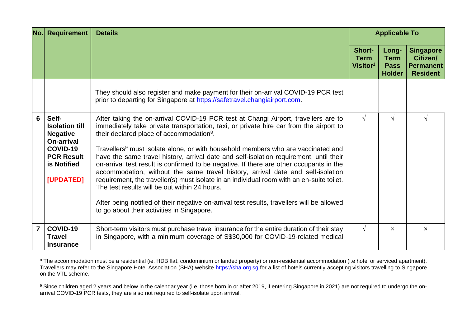| <b>No.l</b>    | <b>Requirement</b>                                                                                                                  | <b>Details</b>                                                                                                                                                                                                                                                                                                                                                                                                                                                                                                                                                                                                                                                                                                                                                                                                                                                                                         | <b>Applicable To</b>                        |                                                      |                                                                     |
|----------------|-------------------------------------------------------------------------------------------------------------------------------------|--------------------------------------------------------------------------------------------------------------------------------------------------------------------------------------------------------------------------------------------------------------------------------------------------------------------------------------------------------------------------------------------------------------------------------------------------------------------------------------------------------------------------------------------------------------------------------------------------------------------------------------------------------------------------------------------------------------------------------------------------------------------------------------------------------------------------------------------------------------------------------------------------------|---------------------------------------------|------------------------------------------------------|---------------------------------------------------------------------|
|                |                                                                                                                                     |                                                                                                                                                                                                                                                                                                                                                                                                                                                                                                                                                                                                                                                                                                                                                                                                                                                                                                        | <b>Short-</b><br><b>Term</b><br>Visitor $1$ | Long-<br><b>Term</b><br><b>Pass</b><br><b>Holder</b> | <b>Singapore</b><br>Citizen/<br><b>Permanent</b><br><b>Resident</b> |
|                |                                                                                                                                     | They should also register and make payment for their on-arrival COVID-19 PCR test<br>prior to departing for Singapore at https://safetravel.changiairport.com.                                                                                                                                                                                                                                                                                                                                                                                                                                                                                                                                                                                                                                                                                                                                         |                                             |                                                      |                                                                     |
| 6              | Self-<br><b>Isolation till</b><br><b>Negative</b><br><b>On-arrival</b><br>COVID-19<br><b>PCR Result</b><br>is Notified<br>[UPDATED] | After taking the on-arrival COVID-19 PCR test at Changi Airport, travellers are to<br>immediately take private transportation, taxi, or private hire car from the airport to<br>their declared place of accommodation <sup>8</sup> .<br>Travellers <sup>9</sup> must isolate alone, or with household members who are vaccinated and<br>have the same travel history, arrival date and self-isolation requirement, until their<br>on-arrival test result is confirmed to be negative. If there are other occupants in the<br>accommodation, without the same travel history, arrival date and self-isolation<br>requirement, the traveller(s) must isolate in an individual room with an en-suite toilet.<br>The test results will be out within 24 hours.<br>After being notified of their negative on-arrival test results, travellers will be allowed<br>to go about their activities in Singapore. | $\sqrt{ }$                                  | $\sqrt{ }$                                           |                                                                     |
| $\overline{7}$ | COVID-19<br><b>Travel</b><br><b>Insurance</b>                                                                                       | Short-term visitors must purchase travel insurance for the entire duration of their stay<br>in Singapore, with a minimum coverage of S\$30,000 for COVID-19-related medical                                                                                                                                                                                                                                                                                                                                                                                                                                                                                                                                                                                                                                                                                                                            | $\sqrt{ }$                                  | $\boldsymbol{\mathsf{x}}$                            | ×                                                                   |

<sup>&</sup>lt;sup>8</sup> The accommodation must be a residential (ie. HDB flat, condominium or landed property) or non-residential accommodation (i.e hotel or serviced apartment). Travellers may refer to the Singapore Hotel Association (SHA) website [https://sha.org.sg](https://sha.org.sg/) for a list of hotels currently accepting visitors travelling to Singapore on the VTL scheme.

<sup>&</sup>lt;sup>9</sup> Since children aged 2 years and below in the calendar year (i.e. those born in or after 2019, if entering Singapore in 2021) are not required to undergo the onarrival COVID-19 PCR tests, they are also not required to self-isolate upon arrival.